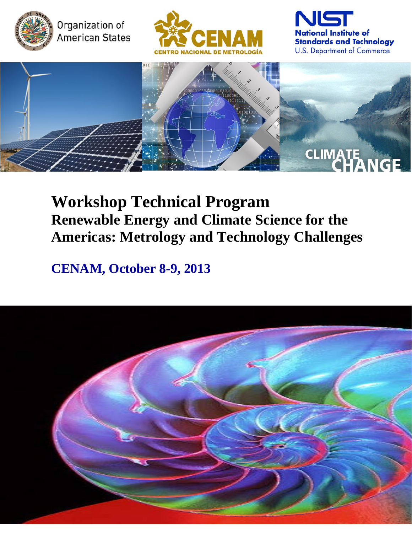

Organization of American States







# **Workshop Technical Program Renewable Energy and Climate Science for the Americas: Metrology and Technology Challenges**

## **CENAM, October 8-9, 2013**

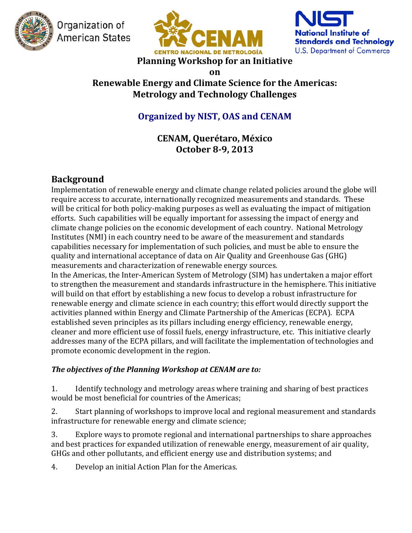

Organization of **American States** 





**on**

## **Renewable Energy and Climate Science for the Americas: Metrology and Technology Challenges**

## **Organized by NIST, OAS and CENAM**

## **CENAM, Querétaro, México October 8-9, 2013**

## **Background**

Implementation of renewable energy and climate change related policies around the globe will require access to accurate, internationally recognized measurements and standards. These will be critical for both policy-making purposes as well as evaluating the impact of mitigation efforts. Such capabilities will be equally important for assessing the impact of energy and climate change policies on the economic development of each country. National Metrology Institutes (NMI) in each country need to be aware of the measurement and standards capabilities necessary for implementation of such policies, and must be able to ensure the quality and international acceptance of data on Air Quality and Greenhouse Gas (GHG) measurements and characterization of renewable energy sources. In the Americas, the Inter-American System of Metrology (SIM) has undertaken a major effort to strengthen the measurement and standards infrastructure in the hemisphere. This initiative

will build on that effort by establishing a new focus to develop a robust infrastructure for renewable energy and climate science in each country; this effort would directly support the activities planned within Energy and Climate Partnership of the Americas (ECPA). ECPA established seven principles as its pillars including energy efficiency, renewable energy, cleaner and more efficient use of fossil fuels, energy infrastructure, etc. This initiative clearly addresses many of the ECPA pillars, and will facilitate the implementation of technologies and promote economic development in the region.

#### *The objectives of the Planning Workshop at CENAM are to:*

1. Identify technology and metrology areas where training and sharing of best practices would be most beneficial for countries of the Americas;

2. Start planning of workshops to improve local and regional measurement and standards infrastructure for renewable energy and climate science;

3. Explore ways to promote regional and international partnerships to share approaches and best practices for expanded utilization of renewable energy, measurement of air quality, GHGs and other pollutants, and efficient energy use and distribution systems; and

4. Develop an initial Action Plan for the Americas.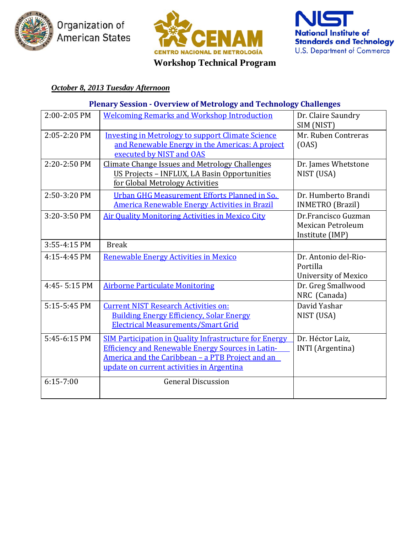

Organization of American States



## **Workshop Technical Program**



#### *October 8, 2013 Tuesday Afternoon*

#### **Plenary Session - Overview of Metrology and Technology Challenges**

| 2:00-2:05 PM   | <b>Welcoming Remarks and Workshop Introduction</b>       | Dr. Claire Saundry       |
|----------------|----------------------------------------------------------|--------------------------|
|                |                                                          | SIM (NIST)               |
| 2:05-2:20 PM   | <b>Investing in Metrology to support Climate Science</b> | Mr. Ruben Contreras      |
|                | and Renewable Energy in the Americas: A project          | (OAS)                    |
|                | executed by NIST and OAS                                 |                          |
| 2:20-2:50 PM   | <b>Climate Change Issues and Metrology Challenges</b>    | Dr. James Whetstone      |
|                | US Projects - INFLUX, LA Basin Opportunities             | NIST (USA)               |
|                | for Global Metrology Activities                          |                          |
| 2:50-3:20 PM   | Urban GHG Measurement Efforts Planned in So.             | Dr. Humberto Brandi      |
|                | <b>America Renewable Energy Activities in Brazil</b>     | <b>INMETRO</b> (Brazil)  |
| 3:20-3:50 PM   | <b>Air Quality Monitoring Activities in Mexico City</b>  | Dr.Francisco Guzman      |
|                |                                                          | <b>Mexican Petroleum</b> |
|                |                                                          | Institute (IMP)          |
| 3:55-4:15 PM   | <b>Break</b>                                             |                          |
| 4:15-4:45 PM   | <b>Renewable Energy Activities in Mexico</b>             | Dr. Antonio del-Rio-     |
|                |                                                          | Portilla                 |
|                |                                                          | University of Mexico     |
| 4:45 - 5:15 PM | <b>Airborne Particulate Monitoring</b>                   | Dr. Greg Smallwood       |
|                |                                                          | NRC (Canada)             |
| 5:15-5:45 PM   | <b>Current NIST Research Activities on:</b>              | David Yashar             |
|                | <b>Building Energy Efficiency, Solar Energy</b>          | NIST (USA)               |
|                | <b>Electrical Measurements/Smart Grid</b>                |                          |
| 5:45-6:15 PM   | SIM Participation in Quality Infrastructure for Energy   | Dr. Héctor Laiz,         |
|                | <b>Efficiency and Renewable Energy Sources in Latin-</b> | <b>INTI</b> (Argentina)  |
|                | America and the Caribbean - a PTB Project and an         |                          |
|                | update on current activities in Argentina                |                          |
| $6:15 - 7:00$  | <b>General Discussion</b>                                |                          |
|                |                                                          |                          |
|                |                                                          |                          |